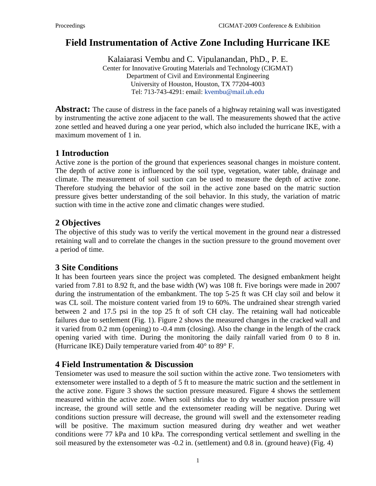# **Field Instrumentation of Active Zone Including Hurricane IKE**

Kalaiarasi Vembu and C. Vipulanandan, PhD., P. E. Center for Innovative Grouting Materials and Technology (CIGMAT) Department of Civil and Environmental Engineering University of Houston, Houston, TX 77204-4003 Tel: 713-743-4291: email: [kvembu@mail.uh.edu](mailto:kvembu@mail.uh.edu)

**Abstract:** The cause of distress in the face panels of a highway retaining wall was investigated by instrumenting the active zone adjacent to the wall. The measurements showed that the active zone settled and heaved during a one year period, which also included the hurricane IKE, with a maximum movement of 1 in.

### **1 Introduction**

Active zone is the portion of the ground that experiences seasonal changes in moisture content. The depth of active zone is influenced by the soil type, vegetation, water table, drainage and climate. The measurement of soil suction can be used to measure the depth of active zone. Therefore studying the behavior of the soil in the active zone based on the matric suction pressure gives better understanding of the soil behavior. In this study, the variation of matric suction with time in the active zone and climatic changes were studied.

## **2 Objectives**

The objective of this study was to verify the vertical movement in the ground near a distressed retaining wall and to correlate the changes in the suction pressure to the ground movement over a period of time.

## **3 Site Conditions**

It has been fourteen years since the project was completed. The designed embankment height varied from 7.81 to 8.92 ft, and the base width (W) was 108 ft. Five borings were made in 2007 during the instrumentation of the embankment. The top 5-25 ft was CH clay soil and below it was CL soil. The moisture content varied from 19 to 60%. The undrained shear strength varied between 2 and 17.5 psi in the top 25 ft of soft CH clay. The retaining wall had noticeable failures due to settlement (Fig. 1). Figure 2 shows the measured changes in the cracked wall and it varied from 0.2 mm (opening) to -0.4 mm (closing). Also the change in the length of the crack opening varied with time. During the monitoring the daily rainfall varied from 0 to 8 in. (Hurricane IKE) Daily temperature varied from 40° to 89° F.

#### **4 Field Instrumentation & Discussion**

Tensiometer was used to measure the soil suction within the active zone. Two tensiometers with extensometer were installed to a depth of 5 ft to measure the matric suction and the settlement in the active zone. Figure 3 shows the suction pressure measured. Figure 4 shows the settlement measured within the active zone. When soil shrinks due to dry weather suction pressure will increase, the ground will settle and the extensometer reading will be negative. During wet conditions suction pressure will decrease, the ground will swell and the extensometer reading will be positive. The maximum suction measured during dry weather and wet weather conditions were 77 kPa and 10 kPa. The corresponding vertical settlement and swelling in the soil measured by the extensometer was -0.2 in. (settlement) and 0.8 in. (ground heave) (Fig. 4)